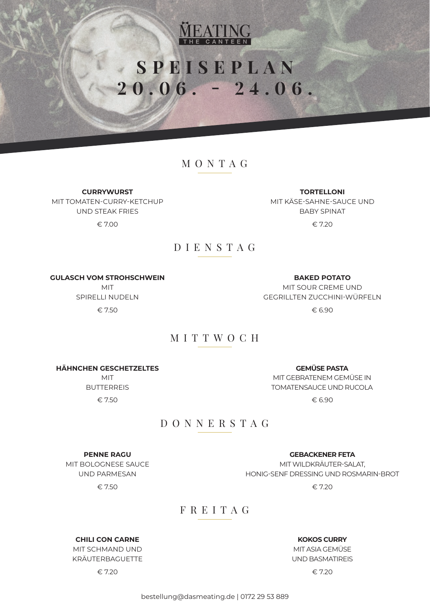

# **SPEISEPLAN 20.06. - 24.06.**

## MONTAG

**CURRYWURST**

MIT TOMATEN-CURRY-KETCHUP UND STEAK FRIES  $\epsilon$  7.00  $\epsilon$  7.20

**TORTELLONI** MIT KÄSE-SAHNE-SAUCE UND BABY SPINAT

## DIENSTAG

**GULASCH VOM STROHSCHWEIN**

MIT SPIRELLI NUDELN  $\epsilon$  7.50  $\epsilon$  6.90

**BAKED POTATO** MIT SOUR CREME UND GEGRILLTEN ZUCCHINI-WÜRFELN

## MITTWOCH

**HÄHNCHEN GESCHETZELTES**

MIT BUTTERREIS  $\epsilon$  7.50  $\epsilon$  6.90

**GEMÜSE PASTA** MIT GEBRATENEM GEMÜSE IN TOMATENSAUCE UND RUCOLA

## DONNERSTAG

**PENNE RAGU** MIT BOLOGNESE SAUCE UND PARMESAN

 $\epsilon$  7.50  $\epsilon$  7.20

### **GEBACKENER FETA** MIT WILDKRÄUTER-SALAT, HONIG-SENF DRESSING UND ROSMARIN-BROT

FREITAG

**CHILI CON CARNE** MIT SCHMAND UND KRÄUTERBAGUETTE

**KOKOS CURRY** MIT ASIA GEMÜSE

UND BASMATIREIS

 $\epsilon$  7.20  $\epsilon$  7.20